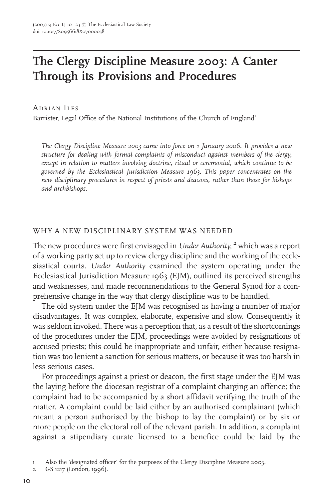# The Clergy Discipline Measure 2003: A Canter Through its Provisions and Procedures

ADRIAN ILES

Barrister, Legal Office of the National Institutions of the Church of England<sup>1</sup>

The Clergy Discipline Measure 2003 came into force on 1 January 2006. It provides a new structure for dealing with formal complaints of misconduct against members of the clergy, except in relation to matters involving doctrine, ritual or ceremonial, which continue to be governed by the Ecclesiastical Jurisdiction Measure 1963. This paper concentrates on the new disciplinary procedures in respect of priests and deacons, rather than those for bishops and archbishops.

# WHY A NEW DISCIPLINARY SYSTEM WAS NEEDED

The new procedures were first envisaged in Under Authority,  $2\pi$  which was a report of a working party set up to review clergy discipline and the working of the ecclesiastical courts. Under Authority examined the system operating under the Ecclesiastical Jurisdiction Measure 1963 (EJM), outlined its perceived strengths and weaknesses, and made recommendations to the General Synod for a comprehensive change in the way that clergy discipline was to be handled.

The old system under the EJM was recognised as having a number of major disadvantages. It was complex, elaborate, expensive and slow. Consequently it was seldom invoked. There was a perception that, as a result of the shortcomings of the procedures under the EJM, proceedings were avoided by resignations of accused priests; this could be inappropriate and unfair, either because resignation was too lenient a sanction for serious matters, or because it was too harsh in less serious cases.

For proceedings against a priest or deacon, the first stage under the EJM was the laying before the diocesan registrar of a complaint charging an offence; the complaint had to be accompanied by a short affidavit verifying the truth of the matter. A complaint could be laid either by an authorised complainant (which meant a person authorised by the bishop to lay the complaint) or by six or more people on the electoral roll of the relevant parish. In addition, a complaint against a stipendiary curate licensed to a benefice could be laid by the

<sup>1</sup> Also the 'designated officer' for the purposes of the Clergy Discipline Measure 2003.

<sup>2</sup> GS 1217 (London, 1996).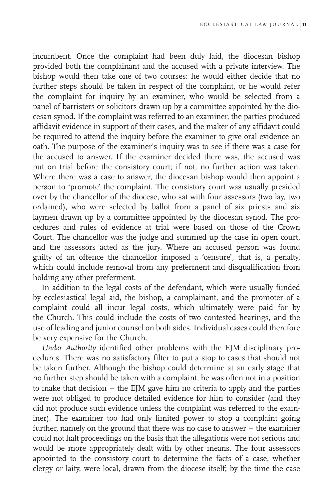incumbent. Once the complaint had been duly laid, the diocesan bishop provided both the complainant and the accused with a private interview. The bishop would then take one of two courses: he would either decide that no further steps should be taken in respect of the complaint, or he would refer the complaint for inquiry by an examiner, who would be selected from a panel of barristers or solicitors drawn up by a committee appointed by the diocesan synod. If the complaint was referred to an examiner, the parties produced affidavit evidence in support of their cases, and the maker of any affidavit could be required to attend the inquiry before the examiner to give oral evidence on oath. The purpose of the examiner's inquiry was to see if there was a case for the accused to answer. If the examiner decided there was, the accused was put on trial before the consistory court; if not, no further action was taken. Where there was a case to answer, the diocesan bishop would then appoint a person to 'promote' the complaint. The consistory court was usually presided over by the chancellor of the diocese, who sat with four assessors (two lay, two ordained), who were selected by ballot from a panel of six priests and six laymen drawn up by a committee appointed by the diocesan synod. The procedures and rules of evidence at trial were based on those of the Crown Court. The chancellor was the judge and summed up the case in open court, and the assessors acted as the jury. Where an accused person was found guilty of an offence the chancellor imposed a 'censure', that is, a penalty, which could include removal from any preferment and disqualification from holding any other preferment.

In addition to the legal costs of the defendant, which were usually funded by ecclesiastical legal aid, the bishop, a complainant, and the promoter of a complaint could all incur legal costs, which ultimately were paid for by the Church. This could include the costs of two contested hearings, and the use of leading and junior counsel on both sides. Individual cases could therefore be very expensive for the Church.

Under Authority identified other problems with the EJM disciplinary procedures. There was no satisfactory filter to put a stop to cases that should not be taken further. Although the bishop could determine at an early stage that no further step should be taken with a complaint, he was often not in a position to make that decision – the EJM gave him no criteria to apply and the parties were not obliged to produce detailed evidence for him to consider (and they did not produce such evidence unless the complaint was referred to the examiner). The examiner too had only limited power to stop a complaint going further, namely on the ground that there was no case to answer – the examiner could not halt proceedings on the basis that the allegations were not serious and would be more appropriately dealt with by other means. The four assessors appointed to the consistory court to determine the facts of a case, whether clergy or laity, were local, drawn from the diocese itself; by the time the case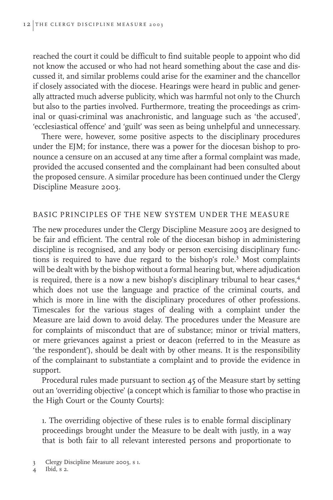reached the court it could be difficult to find suitable people to appoint who did not know the accused or who had not heard something about the case and discussed it, and similar problems could arise for the examiner and the chancellor if closely associated with the diocese. Hearings were heard in public and generally attracted much adverse publicity, which was harmful not only to the Church but also to the parties involved. Furthermore, treating the proceedings as criminal or quasi-criminal was anachronistic, and language such as 'the accused', 'ecclesiastical offence' and 'guilt' was seen as being unhelpful and unnecessary.

There were, however, some positive aspects to the disciplinary procedures under the EJM; for instance, there was a power for the diocesan bishop to pronounce a censure on an accused at any time after a formal complaint was made, provided the accused consented and the complainant had been consulted about the proposed censure. A similar procedure has been continued under the Clergy Discipline Measure 2003.

### BASIC PRINCIPLES OF THE NEW SYSTEM UNDER THE MEASURE

The new procedures under the Clergy Discipline Measure 2003 are designed to be fair and efficient. The central role of the diocesan bishop in administering discipline is recognised, and any body or person exercising disciplinary functions is required to have due regard to the bishop's role.3 Most complaints will be dealt with by the bishop without a formal hearing but, where adjudication is required, there is a now a new bishop's disciplinary tribunal to hear cases,<sup>4</sup> which does not use the language and practice of the criminal courts, and which is more in line with the disciplinary procedures of other professions. Timescales for the various stages of dealing with a complaint under the Measure are laid down to avoid delay. The procedures under the Measure are for complaints of misconduct that are of substance; minor or trivial matters, or mere grievances against a priest or deacon (referred to in the Measure as 'the respondent'), should be dealt with by other means. It is the responsibility of the complainant to substantiate a complaint and to provide the evidence in support.

Procedural rules made pursuant to section 45 of the Measure start by setting out an 'overriding objective' (a concept which is familiar to those who practise in the High Court or the County Courts):

1. The overriding objective of these rules is to enable formal disciplinary proceedings brought under the Measure to be dealt with justly, in a way that is both fair to all relevant interested persons and proportionate to

4 Ibid, s 2.

<sup>3</sup> Clergy Discipline Measure 2003, s 1.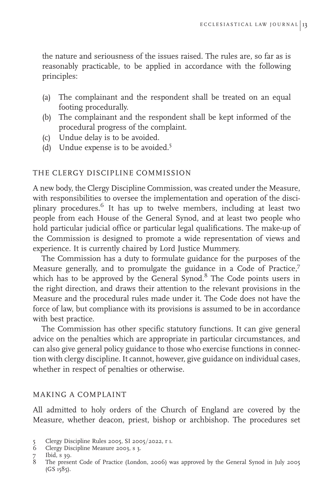the nature and seriousness of the issues raised. The rules are, so far as is reasonably practicable, to be applied in accordance with the following principles:

- (a) The complainant and the respondent shall be treated on an equal footing procedurally.
- (b) The complainant and the respondent shall be kept informed of the procedural progress of the complaint.
- (c) Undue delay is to be avoided.
- (d) Undue expense is to be avoided.<sup>5</sup>

# THE CLERGY DISCIPLINE COMMISSION

A new body, the Clergy Discipline Commission, was created under the Measure, with responsibilities to oversee the implementation and operation of the disciplinary procedures.6 It has up to twelve members, including at least two people from each House of the General Synod, and at least two people who hold particular judicial office or particular legal qualifications. The make-up of the Commission is designed to promote a wide representation of views and experience. It is currently chaired by Lord Justice Mummery.

The Commission has a duty to formulate guidance for the purposes of the Measure generally, and to promulgate the guidance in a Code of Practice,<sup>7</sup> which has to be approved by the General Synod.<sup>8</sup> The Code points users in the right direction, and draws their attention to the relevant provisions in the Measure and the procedural rules made under it. The Code does not have the force of law, but compliance with its provisions is assumed to be in accordance with best practice.

The Commission has other specific statutory functions. It can give general advice on the penalties which are appropriate in particular circumstances, and can also give general policy guidance to those who exercise functions in connection with clergy discipline. It cannot, however, give guidance on individual cases, whether in respect of penalties or otherwise.

#### MAKING A COMPLAINT

All admitted to holy orders of the Church of England are covered by the Measure, whether deacon, priest, bishop or archbishop. The procedures set

<sup>5</sup> Clergy Discipline Rules 2005, SI 2005/2022, r 1.<br>6 Clergy Discipline Measure 2003, s 3.

<sup>6</sup> Clergy Discipline Measure 2003, s 3.

<sup>7</sup> Ibid, s 39.<br>8 The prese

<sup>8</sup> The present Code of Practice (London, 2006) was approved by the General Synod in July 2005  $(GS<sub>1585</sub>)$ .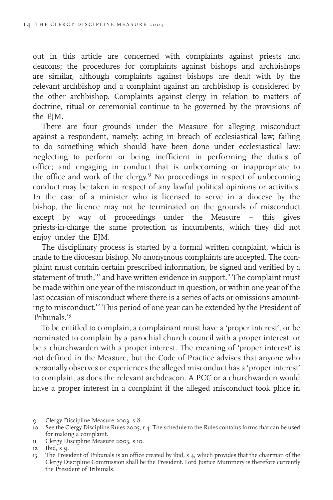out in this article are concerned with complaints against priests and deacons; the procedures for complaints against bishops and archbishops are similar, although complaints against bishops are dealt with by the relevant archbishop and a complaint against an archbishop is considered by the other archbishop. Complaints against clergy in relation to matters of doctrine, ritual or ceremonial continue to be governed by the provisions of the EJM.

There are four grounds under the Measure for alleging misconduct against a respondent, namely: acting in breach of ecclesiastical law; failing to do something which should have been done under ecclesiastical law; neglecting to perform or being inefficient in performing the duties of office; and engaging in conduct that is unbecoming or inappropriate to the office and work of the clergy.9 No proceedings in respect of unbecoming conduct may be taken in respect of any lawful political opinions or activities. In the case of a minister who is licensed to serve in a diocese by the bishop, the licence may not be terminated on the grounds of misconduct except by way of proceedings under the Measure – this gives priests-in-charge the same protection as incumbents, which they did not enjoy under the EJM.

The disciplinary process is started by a formal written complaint, which is made to the diocesan bishop. No anonymous complaints are accepted. The complaint must contain certain prescribed information, be signed and verified by a statement of truth,<sup>10</sup> and have written evidence in support.<sup>11</sup> The complaint must be made within one year of the misconduct in question, or within one year of the last occasion of misconduct where there is a series of acts or omissions amounting to misconduct.<sup>12</sup> This period of one year can be extended by the President of Tribunals.13

To be entitled to complain, a complainant must have a 'proper interest', or be nominated to complain by a parochial church council with a proper interest, or be a churchwarden with a proper interest. The meaning of 'proper interest' is not defined in the Measure, but the Code of Practice advises that anyone who personally observes or experiences the alleged misconduct has a 'proper interest' to complain, as does the relevant archdeacon. A PCC or a churchwarden would have a proper interest in a complaint if the alleged misconduct took place in

- 9 Clergy Discipline Measure 2003, s 8.<br>10 See the Clergy Discipline Rules 2005
- 10 See the Clergy Discipline Rules 2005, r 4. The schedule to the Rules contains forms that can be used for making a complaint.
- 11 Clergy Discipline Measure 2003, s 10.
- 12 Ibid, s 9.
- 13 The President of Tribunals is an office created by ibid, s 4, which provides that the chairman of the Clergy Discipline Commission shall be the President. Lord Justice Mummery is therefore currently the President of Tribunals.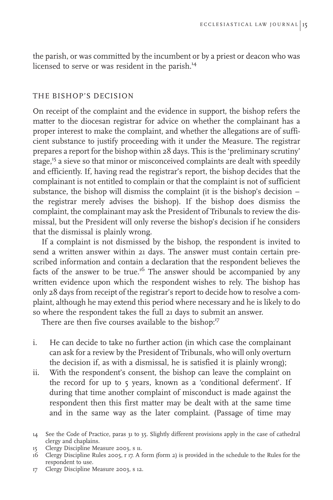the parish, or was committed by the incumbent or by a priest or deacon who was licensed to serve or was resident in the parish.<sup>14</sup>

#### THE BISHOP'S DECISION

On receipt of the complaint and the evidence in support, the bishop refers the matter to the diocesan registrar for advice on whether the complainant has a proper interest to make the complaint, and whether the allegations are of sufficient substance to justify proceeding with it under the Measure. The registrar prepares a report for the bishop within 28 days. This is the 'preliminary scrutiny' stage,<sup>15</sup> a sieve so that minor or misconceived complaints are dealt with speedily and efficiently. If, having read the registrar's report, the bishop decides that the complainant is not entitled to complain or that the complaint is not of sufficient substance, the bishop will dismiss the complaint (it is the bishop's decision – the registrar merely advises the bishop). If the bishop does dismiss the complaint, the complainant may ask the President of Tribunals to review the dismissal, but the President will only reverse the bishop's decision if he considers that the dismissal is plainly wrong.

If a complaint is not dismissed by the bishop, the respondent is invited to send a written answer within 21 days. The answer must contain certain prescribed information and contain a declaration that the respondent believes the facts of the answer to be true.<sup>16</sup> The answer should be accompanied by any written evidence upon which the respondent wishes to rely. The bishop has only 28 days from receipt of the registrar's report to decide how to resolve a complaint, although he may extend this period where necessary and he is likely to do so where the respondent takes the full 21 days to submit an answer.

There are then five courses available to the bishop:<sup>17</sup>

- i. He can decide to take no further action (in which case the complainant can ask for a review by the President of Tribunals, who will only overturn the decision if, as with a dismissal, he is satisfied it is plainly wrong);
- ii. With the respondent's consent, the bishop can leave the complaint on the record for up to 5 years, known as a 'conditional deferment'. If during that time another complaint of misconduct is made against the respondent then this first matter may be dealt with at the same time and in the same way as the later complaint. (Passage of time may

15 Clergy Discipline Measure 2003, s 11.

<sup>14</sup> See the Code of Practice, paras 31 to 35. Slightly different provisions apply in the case of cathedral clergy and chaplains.

<sup>16</sup> Clergy Discipline Rules 2005, r 17. A form (form 2) is provided in the schedule to the Rules for the respondent to use.

<sup>17</sup> Clergy Discipline Measure 2003, s 12.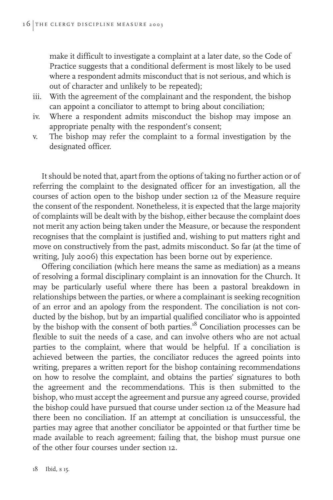make it difficult to investigate a complaint at a later date, so the Code of Practice suggests that a conditional deferment is most likely to be used where a respondent admits misconduct that is not serious, and which is out of character and unlikely to be repeated);

- iii. With the agreement of the complainant and the respondent, the bishop can appoint a conciliator to attempt to bring about conciliation;
- iv. Where a respondent admits misconduct the bishop may impose an appropriate penalty with the respondent's consent;
- v. The bishop may refer the complaint to a formal investigation by the designated officer.

It should be noted that, apart from the options of taking no further action or of referring the complaint to the designated officer for an investigation, all the courses of action open to the bishop under section 12 of the Measure require the consent of the respondent. Nonetheless, it is expected that the large majority of complaints will be dealt with by the bishop, either because the complaint does not merit any action being taken under the Measure, or because the respondent recognises that the complaint is justified and, wishing to put matters right and move on constructively from the past, admits misconduct. So far (at the time of writing, July 2006) this expectation has been borne out by experience.

Offering conciliation (which here means the same as mediation) as a means of resolving a formal disciplinary complaint is an innovation for the Church. It may be particularly useful where there has been a pastoral breakdown in relationships between the parties, or where a complainant is seeking recognition of an error and an apology from the respondent. The conciliation is not conducted by the bishop, but by an impartial qualified conciliator who is appointed by the bishop with the consent of both parties.<sup>18</sup> Conciliation processes can be flexible to suit the needs of a case, and can involve others who are not actual parties to the complaint, where that would be helpful. If a conciliation is achieved between the parties, the conciliator reduces the agreed points into writing, prepares a written report for the bishop containing recommendations on how to resolve the complaint, and obtains the parties' signatures to both the agreement and the recommendations. This is then submitted to the bishop, who must accept the agreement and pursue any agreed course, provided the bishop could have pursued that course under section 12 of the Measure had there been no conciliation. If an attempt at conciliation is unsuccessful, the parties may agree that another conciliator be appointed or that further time be made available to reach agreement; failing that, the bishop must pursue one of the other four courses under section 12.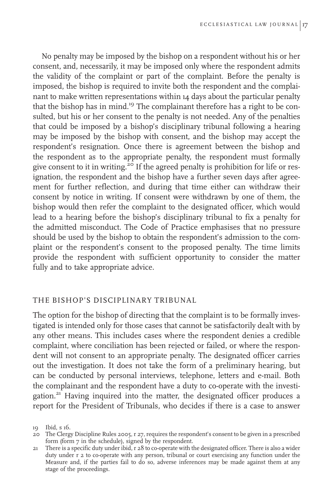No penalty may be imposed by the bishop on a respondent without his or her consent, and, necessarily, it may be imposed only where the respondent admits the validity of the complaint or part of the complaint. Before the penalty is imposed, the bishop is required to invite both the respondent and the complainant to make written representations within 14 days about the particular penalty that the bishop has in mind.<sup>19</sup> The complainant therefore has a right to be consulted, but his or her consent to the penalty is not needed. Any of the penalties that could be imposed by a bishop's disciplinary tribunal following a hearing may be imposed by the bishop with consent, and the bishop may accept the respondent's resignation. Once there is agreement between the bishop and the respondent as to the appropriate penalty, the respondent must formally give consent to it in writing.<sup>20</sup> If the agreed penalty is prohibition for life or resignation, the respondent and the bishop have a further seven days after agreement for further reflection, and during that time either can withdraw their consent by notice in writing. If consent were withdrawn by one of them, the bishop would then refer the complaint to the designated officer, which would lead to a hearing before the bishop's disciplinary tribunal to fix a penalty for the admitted misconduct. The Code of Practice emphasises that no pressure should be used by the bishop to obtain the respondent's admission to the complaint or the respondent's consent to the proposed penalty. The time limits provide the respondent with sufficient opportunity to consider the matter fully and to take appropriate advice.

#### THE BISHOP'S DISCIPLINARY TRIBUNAL

The option for the bishop of directing that the complaint is to be formally investigated is intended only for those cases that cannot be satisfactorily dealt with by any other means. This includes cases where the respondent denies a credible complaint, where conciliation has been rejected or failed, or where the respondent will not consent to an appropriate penalty. The designated officer carries out the investigation. It does not take the form of a preliminary hearing, but can be conducted by personal interviews, telephone, letters and e-mail. Both the complainant and the respondent have a duty to co-operate with the investigation.<sup>21</sup> Having inquired into the matter, the designated officer produces a report for the President of Tribunals, who decides if there is a case to answer

<sup>19</sup> Ibid, s 16.

<sup>20</sup> The Clergy Discipline Rules 2005, r 27, requires the respondent's consent to be given in a prescribed form (form 7 in the schedule), signed by the respondent.

<sup>21</sup> There is a specific duty under ibid, r 28 to co-operate with the designated officer. There is also a wider duty under r 2 to co-operate with any person, tribunal or court exercising any function under the Measure and, if the parties fail to do so, adverse inferences may be made against them at any stage of the proceedings.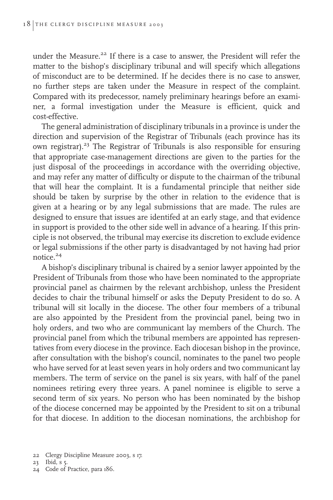under the Measure. $^{22}$  If there is a case to answer, the President will refer the matter to the bishop's disciplinary tribunal and will specify which allegations of misconduct are to be determined. If he decides there is no case to answer, no further steps are taken under the Measure in respect of the complaint. Compared with its predecessor, namely preliminary hearings before an examiner, a formal investigation under the Measure is efficient, quick and cost-effective.

The general administration of disciplinary tribunals in a province is under the direction and supervision of the Registrar of Tribunals (each province has its own registrar).<sup>23</sup> The Registrar of Tribunals is also responsible for ensuring that appropriate case-management directions are given to the parties for the just disposal of the proceedings in accordance with the overriding objective, and may refer any matter of difficulty or dispute to the chairman of the tribunal that will hear the complaint. It is a fundamental principle that neither side should be taken by surprise by the other in relation to the evidence that is given at a hearing or by any legal submissions that are made. The rules are designed to ensure that issues are identifed at an early stage, and that evidence in support is provided to the other side well in advance of a hearing. If this principle is not observed, the tribunal may exercise its discretion to exclude evidence or legal submissions if the other party is disadvantaged by not having had prior notice.24

A bishop's disciplinary tribunal is chaired by a senior lawyer appointed by the President of Tribunals from those who have been nominated to the appropriate provincial panel as chairmen by the relevant archbishop, unless the President decides to chair the tribunal himself or asks the Deputy President to do so. A tribunal will sit locally in the diocese. The other four members of a tribunal are also appointed by the President from the provincial panel, being two in holy orders, and two who are communicant lay members of the Church. The provincial panel from which the tribunal members are appointed has representatives from every diocese in the province. Each diocesan bishop in the province, after consultation with the bishop's council, nominates to the panel two people who have served for at least seven years in holy orders and two communicant lay members. The term of service on the panel is six years, with half of the panel nominees retiring every three years. A panel nominee is eligible to serve a second term of six years. No person who has been nominated by the bishop of the diocese concerned may be appointed by the President to sit on a tribunal for that diocese. In addition to the diocesan nominations, the archbishop for

24 Code of Practice, para 186.

<sup>22</sup> Clergy Discipline Measure 2003, s 17.

<sup>23</sup> Ibid, s 5.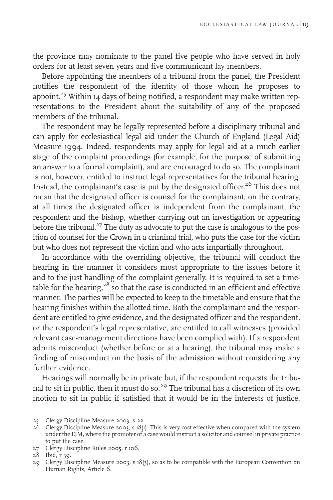the province may nominate to the panel five people who have served in holy orders for at least seven years and five communicant lay members.

Before appointing the members of a tribunal from the panel, the President notifies the respondent of the identity of those whom he proposes to appoint.<sup>25</sup> Within 14 days of being notified, a respondent may make written representations to the President about the suitability of any of the proposed members of the tribunal.

The respondent may be legally represented before a disciplinary tribunal and can apply for ecclesiastical legal aid under the Church of England (Legal Aid) Measure 1994. Indeed, respondents may apply for legal aid at a much earlier stage of the complaint proceedings (for example, for the purpose of submitting an answer to a formal complaint), and are encouraged to do so. The complainant is not, however, entitled to instruct legal representatives for the tribunal hearing. Instead, the complainant's case is put by the designated officer.<sup>26</sup> This does not mean that the designated officer is counsel for the complainant; on the contrary, at all times the designated officer is independent from the complainant, the respondent and the bishop, whether carrying out an investigation or appearing before the tribunal.<sup>27</sup> The duty as advocate to put the case is analogous to the position of counsel for the Crown in a criminal trial, who puts the case for the victim but who does not represent the victim and who acts impartially throughout.

In accordance with the overriding objective, the tribunal will conduct the hearing in the manner it considers most appropriate to the issues before it and to the just handling of the complaint generally. It is required to set a timetable for the hearing, $28$  so that the case is conducted in an efficient and effective manner. The parties will be expected to keep to the timetable and ensure that the hearing finishes within the allotted time. Both the complainant and the respondent are entitled to give evidence, and the designated officer and the respondent, or the respondent's legal representative, are entitled to call witnesses (provided relevant case-management directions have been complied with). If a respondent admits misconduct (whether before or at a hearing), the tribunal may make a finding of misconduct on the basis of the admission without considering any further evidence.

Hearings will normally be in private but, if the respondent requests the tribunal to sit in public, then it must do so.<sup>29</sup> The tribunal has a discretion of its own motion to sit in public if satisfied that it would be in the interests of justice.

27 Clergy Discipline Rules 2005, r 106.

<sup>25</sup> Clergy Discipline Measure 2003, s 22.

<sup>26</sup> Clergy Discipline Measure 2003, s 18(1). This is very cost-effective when compared with the system under the EJM, where the promoter of a case would instruct a solicitor and counsel in private practice to put the case.

<sup>28</sup> Ibid, r 39.

<sup>29</sup> Clergy Discipline Measure 2003, s 18(3), so as to be compatible with the European Convention on Human Rights, Article 6.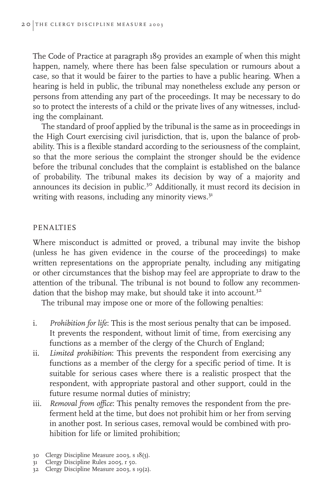The Code of Practice at paragraph 189 provides an example of when this might happen, namely, where there has been false speculation or rumours about a case, so that it would be fairer to the parties to have a public hearing. When a hearing is held in public, the tribunal may nonetheless exclude any person or persons from attending any part of the proceedings. It may be necessary to do so to protect the interests of a child or the private lives of any witnesses, including the complainant.

The standard of proof applied by the tribunal is the same as in proceedings in the High Court exercising civil jurisdiction, that is, upon the balance of probability. This is a flexible standard according to the seriousness of the complaint, so that the more serious the complaint the stronger should be the evidence before the tribunal concludes that the complaint is established on the balance of probability. The tribunal makes its decision by way of a majority and announces its decision in public.<sup>30</sup> Additionally, it must record its decision in writing with reasons, including any minority views.<sup>31</sup>

# PENALTIES

Where misconduct is admitted or proved, a tribunal may invite the bishop (unless he has given evidence in the course of the proceedings) to make written representations on the appropriate penalty, including any mitigating or other circumstances that the bishop may feel are appropriate to draw to the attention of the tribunal. The tribunal is not bound to follow any recommendation that the bishop may make, but should take it into account.<sup>32</sup>

The tribunal may impose one or more of the following penalties:

- i. Prohibition for life: This is the most serious penalty that can be imposed. It prevents the respondent, without limit of time, from exercising any functions as a member of the clergy of the Church of England;
- ii. Limited prohibition: This prevents the respondent from exercising any functions as a member of the clergy for a specific period of time. It is suitable for serious cases where there is a realistic prospect that the respondent, with appropriate pastoral and other support, could in the future resume normal duties of ministry;
- iii. Removal from office: This penalty removes the respondent from the preferment held at the time, but does not prohibit him or her from serving in another post. In serious cases, removal would be combined with prohibition for life or limited prohibition;

<sup>30</sup> Clergy Discipline Measure 2003, s 18(3).

<sup>31</sup> Clergy Discipline Rules 2005, r 50.

<sup>32</sup> Clergy Discipline Measure 2003, s 19(2).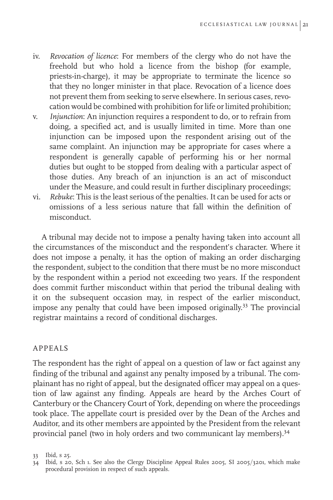- iv. Revocation of licence: For members of the clergy who do not have the freehold but who hold a licence from the bishop (for example, priests-in-charge), it may be appropriate to terminate the licence so that they no longer minister in that place. Revocation of a licence does not prevent them from seeking to serve elsewhere. In serious cases, revocation would be combined with prohibition for life or limited prohibition;
- v. Injunction: An injunction requires a respondent to do, or to refrain from doing, a specified act, and is usually limited in time. More than one injunction can be imposed upon the respondent arising out of the same complaint. An injunction may be appropriate for cases where a respondent is generally capable of performing his or her normal duties but ought to be stopped from dealing with a particular aspect of those duties. Any breach of an injunction is an act of misconduct under the Measure, and could result in further disciplinary proceedings;
- vi. Rebuke: This is the least serious of the penalties. It can be used for acts or omissions of a less serious nature that fall within the definition of misconduct.

A tribunal may decide not to impose a penalty having taken into account all the circumstances of the misconduct and the respondent's character. Where it does not impose a penalty, it has the option of making an order discharging the respondent, subject to the condition that there must be no more misconduct by the respondent within a period not exceeding two years. If the respondent does commit further misconduct within that period the tribunal dealing with it on the subsequent occasion may, in respect of the earlier misconduct, impose any penalty that could have been imposed originally.<sup>33</sup> The provincial registrar maintains a record of conditional discharges.

#### APPEALS

The respondent has the right of appeal on a question of law or fact against any finding of the tribunal and against any penalty imposed by a tribunal. The complainant has no right of appeal, but the designated officer may appeal on a question of law against any finding. Appeals are heard by the Arches Court of Canterbury or the Chancery Court of York, depending on where the proceedings took place. The appellate court is presided over by the Dean of the Arches and Auditor, and its other members are appointed by the President from the relevant provincial panel (two in holy orders and two communicant lay members).<sup>34</sup>

<sup>33</sup> Ibid, s 25.

<sup>34</sup> Ibid, s 20, Sch 1. See also the Clergy Discipline Appeal Rules 2005, SI 2005/3201, which make procedural provision in respect of such appeals.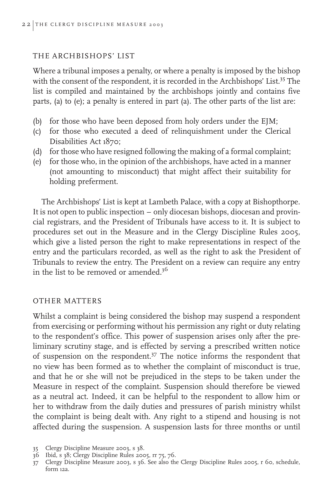# THE ARCHBISHOPS' LIST

Where a tribunal imposes a penalty, or where a penalty is imposed by the bishop with the consent of the respondent, it is recorded in the Archbishops' List.<sup>35</sup> The list is compiled and maintained by the archbishops jointly and contains five parts, (a) to (e); a penalty is entered in part (a). The other parts of the list are:

- (b) for those who have been deposed from holy orders under the EJM;
- (c) for those who executed a deed of relinquishment under the Clerical Disabilities Act 1870;
- (d) for those who have resigned following the making of a formal complaint;
- (e) for those who, in the opinion of the archbishops, have acted in a manner (not amounting to misconduct) that might affect their suitability for holding preferment.

The Archbishops' List is kept at Lambeth Palace, with a copy at Bishopthorpe. It is not open to public inspection – only diocesan bishops, diocesan and provincial registrars, and the President of Tribunals have access to it. It is subject to procedures set out in the Measure and in the Clergy Discipline Rules 2005, which give a listed person the right to make representations in respect of the entry and the particulars recorded, as well as the right to ask the President of Tribunals to review the entry. The President on a review can require any entry in the list to be removed or amended.36

# OTHER MATTERS

Whilst a complaint is being considered the bishop may suspend a respondent from exercising or performing without his permission any right or duty relating to the respondent's office. This power of suspension arises only after the preliminary scrutiny stage, and is effected by serving a prescribed written notice of suspension on the respondent.37 The notice informs the respondent that no view has been formed as to whether the complaint of misconduct is true, and that he or she will not be prejudiced in the steps to be taken under the Measure in respect of the complaint. Suspension should therefore be viewed as a neutral act. Indeed, it can be helpful to the respondent to allow him or her to withdraw from the daily duties and pressures of parish ministry whilst the complaint is being dealt with. Any right to a stipend and housing is not affected during the suspension. A suspension lasts for three months or until

<sup>35</sup> Clergy Discipline Measure 2003, s 38.

<sup>36</sup> Ibid, s 38; Clergy Discipline Rules 2005, rr 75, 76.

<sup>37</sup> Clergy Discipline Measure 2003, s 36. See also the Clergy Discipline Rules 2005, r 60, schedule, form 12a.